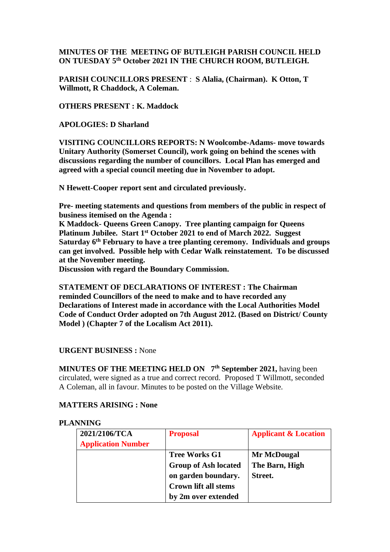# **MINUTES OF THE MEETING OF BUTLEIGH PARISH COUNCIL HELD ON TUESDAY 5 th October 2021 IN THE CHURCH ROOM, BUTLEIGH.**

**PARISH COUNCILLORS PRESENT** : **S Alalia, (Chairman). K Otton, T Willmott, R Chaddock, A Coleman.**

**OTHERS PRESENT : K. Maddock**

**APOLOGIES: D Sharland**

**VISITING COUNCILLORS REPORTS: N Woolcombe-Adams- move towards Unitary Authority (Somerset Council), work going on behind the scenes with discussions regarding the number of councillors. Local Plan has emerged and agreed with a special council meeting due in November to adopt.**

**N Hewett-Cooper report sent and circulated previously.**

**Pre- meeting statements and questions from members of the public in respect of business itemised on the Agenda :**

**K Maddock- Queens Green Canopy. Tree planting campaign for Queens Platinum Jubilee. Start 1st October 2021 to end of March 2022. Suggest Saturday 6th February to have a tree planting ceremony. Individuals and groups can get involved. Possible help with Cedar Walk reinstatement. To be discussed at the November meeting.**

**Discussion with regard the Boundary Commission.**

**STATEMENT OF DECLARATIONS OF INTEREST : The Chairman reminded Councillors of the need to make and to have recorded any Declarations of Interest made in accordance with the Local Authorities Model Code of Conduct Order adopted on 7th August 2012. (Based on District/ County Model ) (Chapter 7 of the Localism Act 2011).**

# **URGENT BUSINESS :** None

**MINUTES OF THE MEETING HELD ON 7<sup>th</sup> September 2021, having been** circulated, were signed as a true and correct record. Proposed T Willmott, seconded A Coleman, all in favour. Minutes to be posted on the Village Website.

### **MATTERS ARISING : None**

### **PLANNING**

| 2021/2106/TCA             | <b>Proposal</b>             | <b>Applicant &amp; Location</b> |  |
|---------------------------|-----------------------------|---------------------------------|--|
| <b>Application Number</b> |                             |                                 |  |
|                           | <b>Tree Works G1</b>        | Mr McDougal                     |  |
|                           | <b>Group of Ash located</b> | The Barn, High                  |  |
|                           | on garden boundary.         | Street.                         |  |
|                           | <b>Crown lift all stems</b> |                                 |  |
|                           | by 2m over extended         |                                 |  |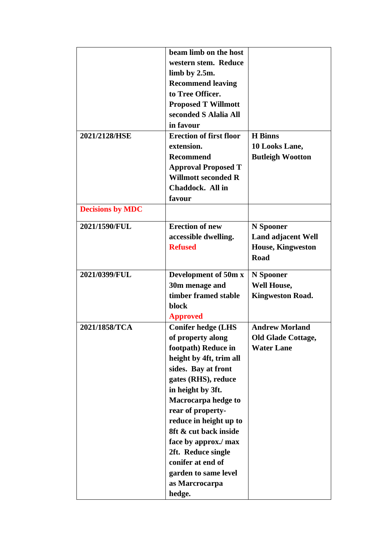|                         | beam limb on the host          |                           |  |
|-------------------------|--------------------------------|---------------------------|--|
|                         | western stem. Reduce           |                           |  |
|                         | limb by 2.5m.                  |                           |  |
|                         | <b>Recommend leaving</b>       |                           |  |
|                         | to Tree Officer.               |                           |  |
|                         | <b>Proposed T Willmott</b>     |                           |  |
|                         | seconded S Alalia All          |                           |  |
|                         | in favour                      |                           |  |
|                         | <b>Erection of first floor</b> | <b>H</b> Binns            |  |
| 2021/2128/HSE           | extension.                     |                           |  |
|                         |                                | 10 Looks Lane,            |  |
|                         | <b>Recommend</b>               | <b>Butleigh Wootton</b>   |  |
|                         | <b>Approval Proposed T</b>     |                           |  |
|                         | <b>Willmott seconded R</b>     |                           |  |
|                         | Chaddock. All in               |                           |  |
|                         | favour                         |                           |  |
| <b>Decisions by MDC</b> |                                |                           |  |
| 2021/1590/FUL           | <b>Erection of new</b>         | N Spooner                 |  |
|                         | accessible dwelling.           | <b>Land adjacent Well</b> |  |
|                         | <b>Refused</b>                 | <b>House, Kingweston</b>  |  |
|                         |                                | <b>Road</b>               |  |
|                         |                                |                           |  |
| 2021/0399/FUL           | Development of 50m x           | N Spooner                 |  |
|                         | 30m menage and                 | <b>Well House,</b>        |  |
|                         | timber framed stable           | <b>Kingweston Road.</b>   |  |
|                         | block                          |                           |  |
|                         | <b>Approved</b>                |                           |  |
| 2021/1858/TCA           | <b>Conifer hedge (LHS</b>      | <b>Andrew Morland</b>     |  |
|                         | of property along              | <b>Old Glade Cottage,</b> |  |
|                         | footpath) Reduce in            | <b>Water Lane</b>         |  |
|                         | height by 4ft, trim all        |                           |  |
|                         | sides. Bay at front            |                           |  |
|                         | gates (RHS), reduce            |                           |  |
|                         | in height by 3ft.              |                           |  |
|                         | Macrocarpa hedge to            |                           |  |
|                         | rear of property-              |                           |  |
|                         | reduce in height up to         |                           |  |
|                         | 8ft & cut back inside          |                           |  |
|                         | face by approx./ max           |                           |  |
|                         | 2ft. Reduce single             |                           |  |
|                         | conifer at end of              |                           |  |
|                         | garden to same level           |                           |  |
|                         |                                |                           |  |
|                         | as Marcrocarpa                 |                           |  |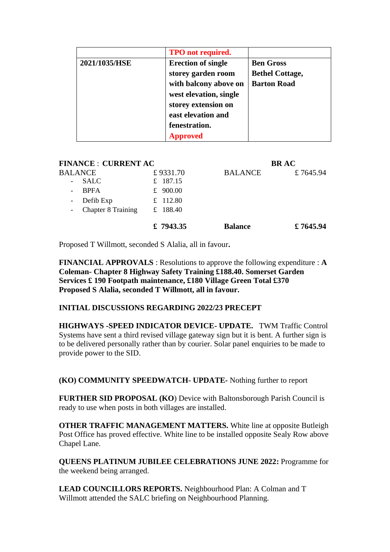|               | <b>TPO</b> not required.  |                        |  |
|---------------|---------------------------|------------------------|--|
| 2021/1035/HSE | <b>Erection of single</b> | <b>Ben Gross</b>       |  |
|               | storey garden room        | <b>Bethel Cottage,</b> |  |
|               | with balcony above on     | <b>Barton Road</b>     |  |
|               | west elevation, single    |                        |  |
|               | storey extension on       |                        |  |
|               | east elevation and        |                        |  |
|               | fenestration.             |                        |  |
|               | <b>Approved</b>           |                        |  |

| <b>FINANCE : CURRENT AC</b>                                                        |                        | <b>BRAC</b>    |          |
|------------------------------------------------------------------------------------|------------------------|----------------|----------|
| BALANCE                                                                            | £9331.70               | <b>BALANCE</b> | £7645.94 |
| <b>SALC</b><br>$\overline{\phantom{a}}$<br><b>BPFA</b><br>$\overline{\phantom{a}}$ | £ 187.15<br>£ $900.00$ |                |          |
| Defib Exp<br>$\overline{\phantom{a}}$                                              | £ 112.80               |                |          |
| Chapter 8 Training<br>$\overline{\phantom{a}}$                                     | £ 188.40               |                |          |
|                                                                                    | £ $7943.35$            | <b>Balance</b> | £7645.94 |

Proposed T Willmott, seconded S Alalia, all in favour**.**

**FINANCIAL APPROVALS** : Resolutions to approve the following expenditure : **A Coleman- Chapter 8 Highway Safety Training £188.40. Somerset Garden Services £ 190 Footpath maintenance, £180 Village Green Total £370 Proposed S Alalia, seconded T Willmott, all in favour.**

### **INITIAL DISCUSSIONS REGARDING 2022/23 PRECEPT**

**HIGHWAYS -SPEED INDICATOR DEVICE- UPDATE.** TWM Traffic Control Systems have sent a third revised village gateway sign but it is bent. A further sign is to be delivered personally rather than by courier. Solar panel enquiries to be made to provide power to the SID.

**(KO) COMMUNITY SPEEDWATCH- UPDATE-** Nothing further to report

**FURTHER SID PROPOSAL (KO**) Device with Baltonsborough Parish Council is ready to use when posts in both villages are installed.

**OTHER TRAFFIC MANAGEMENT MATTERS.** White line at opposite Butleigh Post Office has proved effective. White line to be installed opposite Sealy Row above Chapel Lane.

**QUEENS PLATINUM JUBILEE CELEBRATIONS JUNE 2022:** Programme for the weekend being arranged.

**LEAD COUNCILLORS REPORTS.** Neighbourhood Plan: A Colman and T Willmott attended the SALC briefing on Neighbourhood Planning.